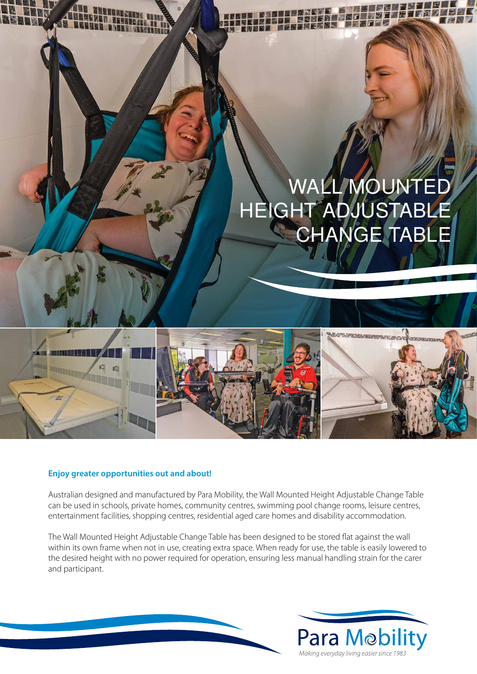# WALL MOUNTED HEIGHT ADJUSTABLE CHANGE TABLE



#### **Enjoy greater opportunities out and about!**

Australian designed and manufactured by Para Mobility, the Wall Mounted Height Adjustable Change Table can be used in schools, private homes, community centres, swimming pool change rooms, leisure centres, entertainment facilities, shopping centres, residential aged care homes and disability accommodation.

The Wall Mounted Height Adjustable Change Table has been designed to be stored flat against the wall within its own frame when not in use, creating extra space. When ready for use, the table is easily lowered to the desired height with no power required for operation, ensuring less manual handling strain for the carer and participant.